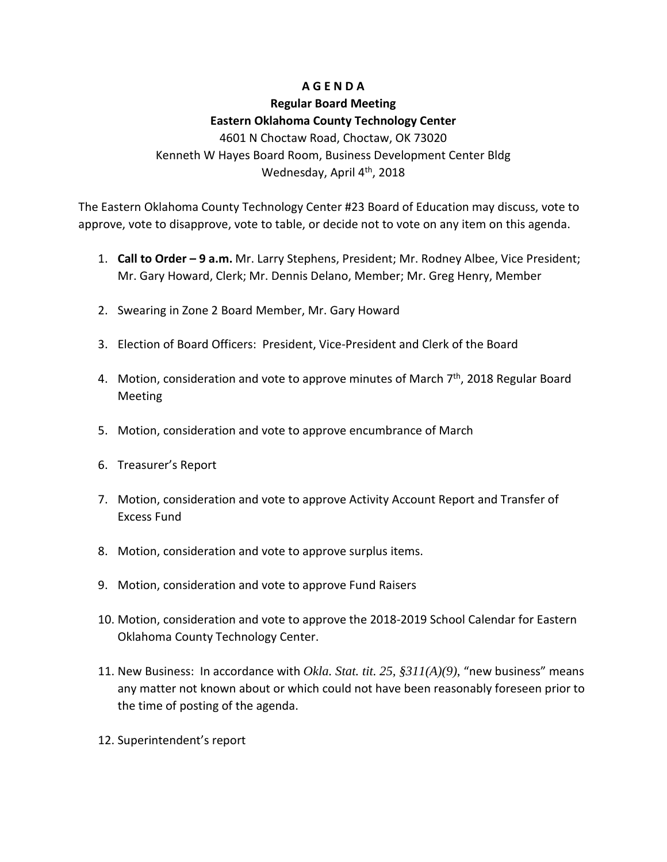## **A G E N D A**

## **Regular Board Meeting Eastern Oklahoma County Technology Center**

4601 N Choctaw Road, Choctaw, OK 73020 Kenneth W Hayes Board Room, Business Development Center Bldg Wednesday, April 4<sup>th</sup>, 2018

The Eastern Oklahoma County Technology Center #23 Board of Education may discuss, vote to approve, vote to disapprove, vote to table, or decide not to vote on any item on this agenda.

- 1. **Call to Order – 9 a.m.** Mr. Larry Stephens, President; Mr. Rodney Albee, Vice President; Mr. Gary Howard, Clerk; Mr. Dennis Delano, Member; Mr. Greg Henry, Member
- 2. Swearing in Zone 2 Board Member, Mr. Gary Howard
- 3. Election of Board Officers: President, Vice-President and Clerk of the Board
- 4. Motion, consideration and vote to approve minutes of March  $7<sup>th</sup>$ , 2018 Regular Board Meeting
- 5. Motion, consideration and vote to approve encumbrance of March
- 6. Treasurer's Report
- 7. Motion, consideration and vote to approve Activity Account Report and Transfer of Excess Fund
- 8. Motion, consideration and vote to approve surplus items.
- 9. Motion, consideration and vote to approve Fund Raisers
- 10. Motion, consideration and vote to approve the 2018-2019 School Calendar for Eastern Oklahoma County Technology Center.
- 11. New Business: In accordance with *Okla. Stat. tit. 25, §311(A)(9)*, "new business" means any matter not known about or which could not have been reasonably foreseen prior to the time of posting of the agenda.
- 12. Superintendent's report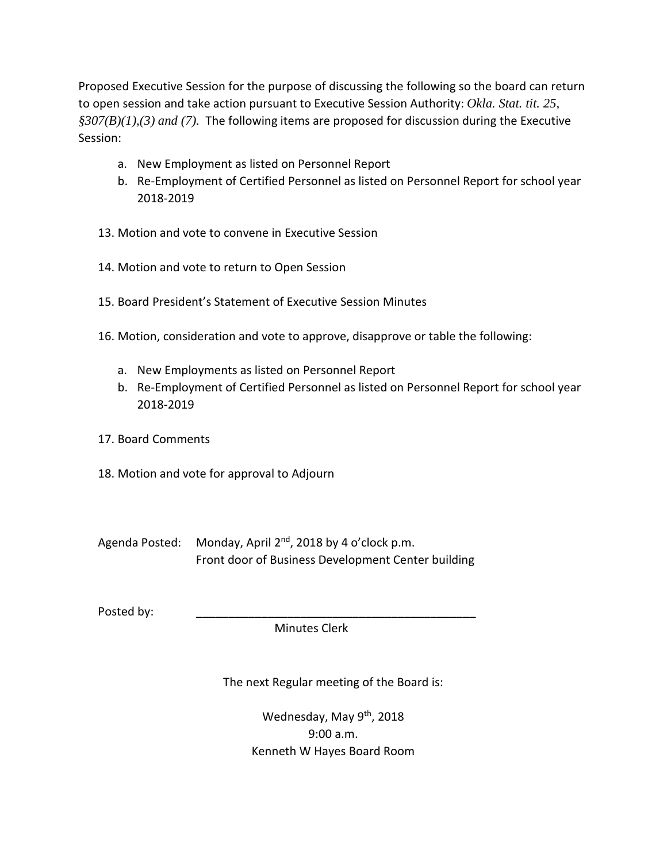Proposed Executive Session for the purpose of discussing the following so the board can return to open session and take action pursuant to Executive Session Authority: *Okla. Stat. tit. 25, §307(B)(1),(3) and (7).* The following items are proposed for discussion during the Executive Session:

- a. New Employment as listed on Personnel Report
- b. Re-Employment of Certified Personnel as listed on Personnel Report for school year 2018-2019
- 13. Motion and vote to convene in Executive Session
- 14. Motion and vote to return to Open Session
- 15. Board President's Statement of Executive Session Minutes
- 16. Motion, consideration and vote to approve, disapprove or table the following:
	- a. New Employments as listed on Personnel Report
	- b. Re-Employment of Certified Personnel as listed on Personnel Report for school year 2018-2019
- 17. Board Comments
- 18. Motion and vote for approval to Adjourn
- Agenda Posted: Monday, April 2<sup>nd</sup>, 2018 by 4 o'clock p.m. Front door of Business Development Center building

Posted by:

Minutes Clerk

The next Regular meeting of the Board is:

Wednesday, May 9<sup>th</sup>, 2018 9:00 a.m. Kenneth W Hayes Board Room